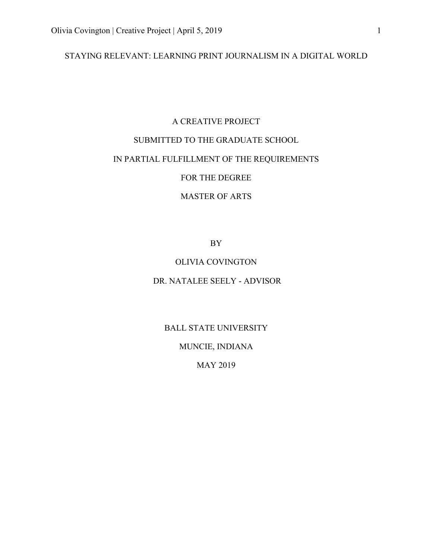### STAYING RELEVANT: LEARNING PRINT JOURNALISM IN A DIGITAL WORLD

### A CREATIVE PROJECT

### SUBMITTED TO THE GRADUATE SCHOOL

### IN PARTIAL FULFILLMENT OF THE REQUIREMENTS

### FOR THE DEGREE

### MASTER OF ARTS

BY

### OLIVIA COVINGTON

### DR. NATALEE SEELY - ADVISOR

BALL STATE UNIVERSITY

MUNCIE, INDIANA

MAY 2019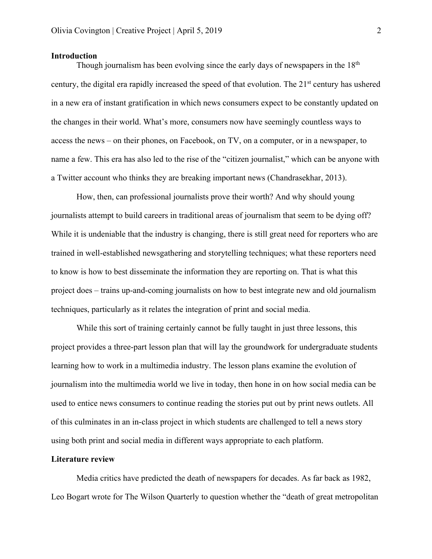### **Introduction**

Though journalism has been evolving since the early days of newspapers in the  $18<sup>th</sup>$ century, the digital era rapidly increased the speed of that evolution. The  $21<sup>st</sup>$  century has ushered in a new era of instant gratification in which news consumers expect to be constantly updated on the changes in their world. What's more, consumers now have seemingly countless ways to access the news – on their phones, on Facebook, on TV, on a computer, or in a newspaper, to name a few. This era has also led to the rise of the "citizen journalist," which can be anyone with a Twitter account who thinks they are breaking important news (Chandrasekhar, 2013).

How, then, can professional journalists prove their worth? And why should young journalists attempt to build careers in traditional areas of journalism that seem to be dying off? While it is undeniable that the industry is changing, there is still great need for reporters who are trained in well-established newsgathering and storytelling techniques; what these reporters need to know is how to best disseminate the information they are reporting on. That is what this project does – trains up-and-coming journalists on how to best integrate new and old journalism techniques, particularly as it relates the integration of print and social media.

While this sort of training certainly cannot be fully taught in just three lessons, this project provides a three-part lesson plan that will lay the groundwork for undergraduate students learning how to work in a multimedia industry. The lesson plans examine the evolution of journalism into the multimedia world we live in today, then hone in on how social media can be used to entice news consumers to continue reading the stories put out by print news outlets. All of this culminates in an in-class project in which students are challenged to tell a news story using both print and social media in different ways appropriate to each platform.

#### **Literature review**

Media critics have predicted the death of newspapers for decades. As far back as 1982, Leo Bogart wrote for The Wilson Quarterly to question whether the "death of great metropolitan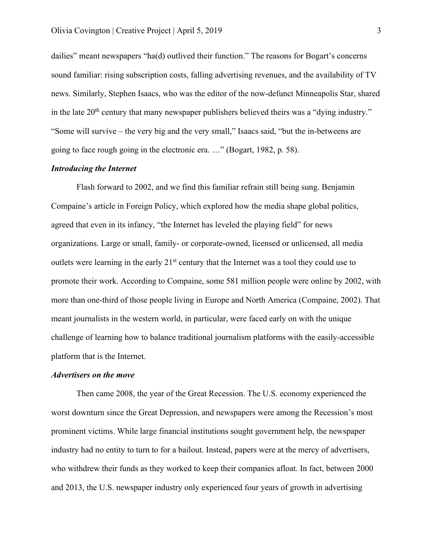dailies" meant newspapers "ha(d) outlived their function." The reasons for Bogart's concerns sound familiar: rising subscription costs, falling advertising revenues, and the availability of TV news. Similarly, Stephen Isaacs, who was the editor of the now-defunct Minneapolis Star, shared in the late  $20<sup>th</sup>$  century that many newspaper publishers believed theirs was a "dying industry." "Some will survive – the very big and the very small," Isaacs said, "but the in-betweens are going to face rough going in the electronic era. …" (Bogart, 1982, p. 58).

### *Introducing the Internet*

Flash forward to 2002, and we find this familiar refrain still being sung. Benjamin Compaine's article in Foreign Policy, which explored how the media shape global politics, agreed that even in its infancy, "the Internet has leveled the playing field" for news organizations. Large or small, family- or corporate-owned, licensed or unlicensed, all media outlets were learning in the early 21<sup>st</sup> century that the Internet was a tool they could use to promote their work. According to Compaine, some 581 million people were online by 2002, with more than one-third of those people living in Europe and North America (Compaine, 2002). That meant journalists in the western world, in particular, were faced early on with the unique challenge of learning how to balance traditional journalism platforms with the easily-accessible platform that is the Internet.

### *Advertisers on the move*

Then came 2008, the year of the Great Recession. The U.S. economy experienced the worst downturn since the Great Depression, and newspapers were among the Recession's most prominent victims. While large financial institutions sought government help, the newspaper industry had no entity to turn to for a bailout. Instead, papers were at the mercy of advertisers, who withdrew their funds as they worked to keep their companies afloat. In fact, between 2000 and 2013, the U.S. newspaper industry only experienced four years of growth in advertising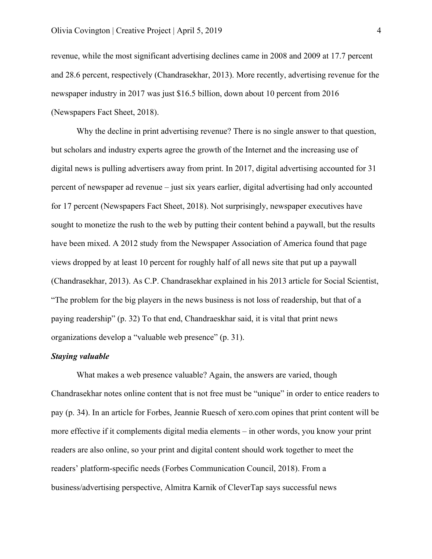revenue, while the most significant advertising declines came in 2008 and 2009 at 17.7 percent and 28.6 percent, respectively (Chandrasekhar, 2013). More recently, advertising revenue for the newspaper industry in 2017 was just \$16.5 billion, down about 10 percent from 2016 (Newspapers Fact Sheet, 2018).

Why the decline in print advertising revenue? There is no single answer to that question, but scholars and industry experts agree the growth of the Internet and the increasing use of digital news is pulling advertisers away from print. In 2017, digital advertising accounted for 31 percent of newspaper ad revenue – just six years earlier, digital advertising had only accounted for 17 percent (Newspapers Fact Sheet, 2018). Not surprisingly, newspaper executives have sought to monetize the rush to the web by putting their content behind a paywall, but the results have been mixed. A 2012 study from the Newspaper Association of America found that page views dropped by at least 10 percent for roughly half of all news site that put up a paywall (Chandrasekhar, 2013). As C.P. Chandrasekhar explained in his 2013 article for Social Scientist, "The problem for the big players in the news business is not loss of readership, but that of a paying readership" (p. 32) To that end, Chandraeskhar said, it is vital that print news organizations develop a "valuable web presence" (p. 31).

#### *Staying valuable*

What makes a web presence valuable? Again, the answers are varied, though Chandrasekhar notes online content that is not free must be "unique" in order to entice readers to pay (p. 34). In an article for Forbes, Jeannie Ruesch of xero.com opines that print content will be more effective if it complements digital media elements – in other words, you know your print readers are also online, so your print and digital content should work together to meet the readers' platform-specific needs (Forbes Communication Council, 2018). From a business/advertising perspective, Almitra Karnik of CleverTap says successful news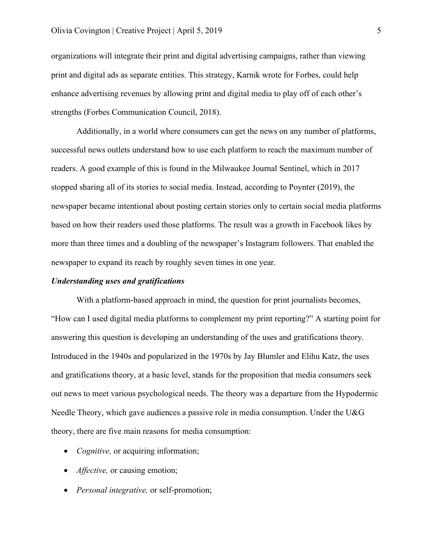organizations will integrate their print and digital advertising campaigns, rather than viewing print and digital ads as separate entities. This strategy, Karnik wrote for Forbes, could help enhance advertising revenues by allowing print and digital media to play off of each other's strengths (Forbes Communication Council, 2018).

Additionally, in a world where consumers can get the news on any number of platforms, successful news outlets understand how to use each platform to reach the maximum number of readers. A good example of this is found in the Milwaukee Journal Sentinel, which in 2017 stopped sharing all of its stories to social media. Instead, according to Poynter (2019), the newspaper became intentional about posting certain stories only to certain social media platforms based on how their readers used those platforms. The result was a growth in Facebook likes by more than three times and a doubling of the newspaper's Instagram followers. That enabled the newspaper to expand its reach by roughly seven times in one year.

### *Understanding uses and gratifications*

With a platform-based approach in mind, the question for print journalists becomes, "How can I used digital media platforms to complement my print reporting?" A starting point for answering this question is developing an understanding of the uses and gratifications theory. Introduced in the 1940s and popularized in the 1970s by Jay Blumler and Elihu Katz, the uses and gratifications theory, at a basic level, stands for the proposition that media consumers seek out news to meet various psychological needs. The theory was a departure from the Hypodermic Needle Theory, which gave audiences a passive role in media consumption. Under the U&G theory, there are five main reasons for media consumption:

- *Cognitive,* or acquiring information;
- *Affective*, or causing emotion;
- *Personal integrative,* or self-promotion;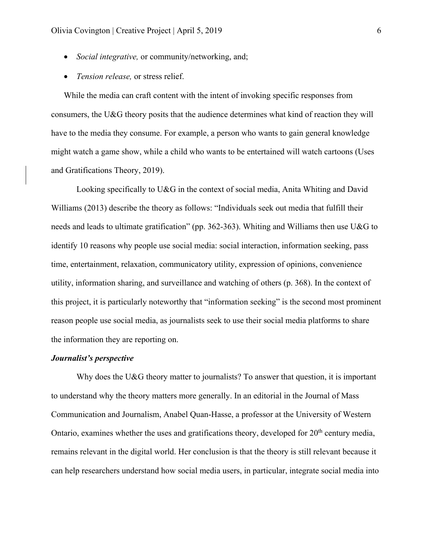- *Social integrative,* or community/networking, and;
- *Tension release,* or stress relief.

While the media can craft content with the intent of invoking specific responses from consumers, the U&G theory posits that the audience determines what kind of reaction they will have to the media they consume. For example, a person who wants to gain general knowledge might watch a game show, while a child who wants to be entertained will watch cartoons (Uses and Gratifications Theory, 2019).

Looking specifically to U&G in the context of social media, Anita Whiting and David Williams (2013) describe the theory as follows: "Individuals seek out media that fulfill their needs and leads to ultimate gratification" (pp. 362-363). Whiting and Williams then use U&G to identify 10 reasons why people use social media: social interaction, information seeking, pass time, entertainment, relaxation, communicatory utility, expression of opinions, convenience utility, information sharing, and surveillance and watching of others (p. 368). In the context of this project, it is particularly noteworthy that "information seeking" is the second most prominent reason people use social media, as journalists seek to use their social media platforms to share the information they are reporting on.

### *Journalist's perspective*

Why does the U&G theory matter to journalists? To answer that question, it is important to understand why the theory matters more generally. In an editorial in the Journal of Mass Communication and Journalism, Anabel Quan-Hasse, a professor at the University of Western Ontario, examines whether the uses and gratifications theory, developed for  $20<sup>th</sup>$  century media, remains relevant in the digital world. Her conclusion is that the theory is still relevant because it can help researchers understand how social media users, in particular, integrate social media into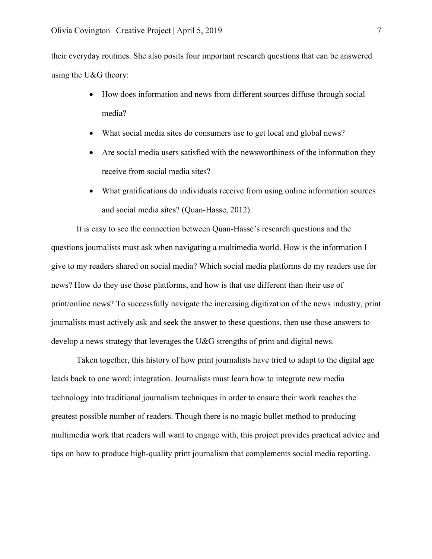their everyday routines. She also posits four important research questions that can be answered using the U&G theory:

- How does information and news from different sources diffuse through social media?
- What social media sites do consumers use to get local and global news?
- Are social media users satisfied with the newsworthiness of the information they receive from social media sites?
- What gratifications do individuals receive from using online information sources and social media sites? (Quan-Hasse, 2012).

It is easy to see the connection between Quan-Hasse's research questions and the questions journalists must ask when navigating a multimedia world. How is the information I give to my readers shared on social media? Which social media platforms do my readers use for news? How do they use those platforms, and how is that use different than their use of print/online news? To successfully navigate the increasing digitization of the news industry, print journalists must actively ask and seek the answer to these questions, then use those answers to develop a news strategy that leverages the U&G strengths of print and digital news.

Taken together, this history of how print journalists have tried to adapt to the digital age leads back to one word: integration. Journalists must learn how to integrate new media technology into traditional journalism techniques in order to ensure their work reaches the greatest possible number of readers. Though there is no magic bullet method to producing multimedia work that readers will want to engage with, this project provides practical advice and tips on how to produce high-quality print journalism that complements social media reporting.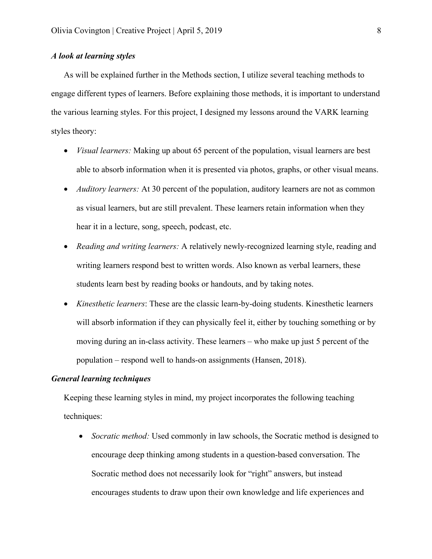### *A look at learning styles*

As will be explained further in the Methods section, I utilize several teaching methods to engage different types of learners. Before explaining those methods, it is important to understand the various learning styles. For this project, I designed my lessons around the VARK learning styles theory:

- *Visual learners:* Making up about 65 percent of the population, visual learners are best able to absorb information when it is presented via photos, graphs, or other visual means.
- *Auditory learners:* At 30 percent of the population, auditory learners are not as common as visual learners, but are still prevalent. These learners retain information when they hear it in a lecture, song, speech, podcast, etc.
- *Reading and writing learners:* A relatively newly-recognized learning style, reading and writing learners respond best to written words. Also known as verbal learners, these students learn best by reading books or handouts, and by taking notes.
- *Kinesthetic learners*: These are the classic learn-by-doing students. Kinesthetic learners will absorb information if they can physically feel it, either by touching something or by moving during an in-class activity. These learners – who make up just 5 percent of the population – respond well to hands-on assignments (Hansen, 2018).

### *General learning techniques*

Keeping these learning styles in mind, my project incorporates the following teaching techniques:

• *Socratic method:* Used commonly in law schools, the Socratic method is designed to encourage deep thinking among students in a question-based conversation. The Socratic method does not necessarily look for "right" answers, but instead encourages students to draw upon their own knowledge and life experiences and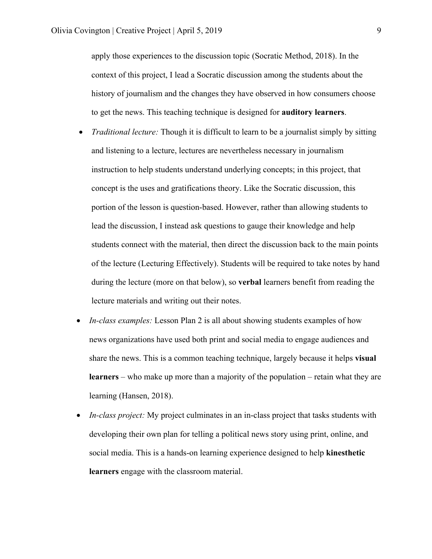apply those experiences to the discussion topic (Socratic Method, 2018). In the context of this project, I lead a Socratic discussion among the students about the history of journalism and the changes they have observed in how consumers choose to get the news. This teaching technique is designed for **auditory learners**.

- *Traditional lecture:* Though it is difficult to learn to be a journalist simply by sitting and listening to a lecture, lectures are nevertheless necessary in journalism instruction to help students understand underlying concepts; in this project, that concept is the uses and gratifications theory. Like the Socratic discussion, this portion of the lesson is question-based. However, rather than allowing students to lead the discussion, I instead ask questions to gauge their knowledge and help students connect with the material, then direct the discussion back to the main points of the lecture (Lecturing Effectively). Students will be required to take notes by hand during the lecture (more on that below), so **verbal** learners benefit from reading the lecture materials and writing out their notes.
- *In-class examples:* Lesson Plan 2 is all about showing students examples of how news organizations have used both print and social media to engage audiences and share the news. This is a common teaching technique, largely because it helps **visual learners** – who make up more than a majority of the population – retain what they are learning (Hansen, 2018).
- *In-class project:* My project culminates in an in-class project that tasks students with developing their own plan for telling a political news story using print, online, and social media. This is a hands-on learning experience designed to help **kinesthetic learners** engage with the classroom material.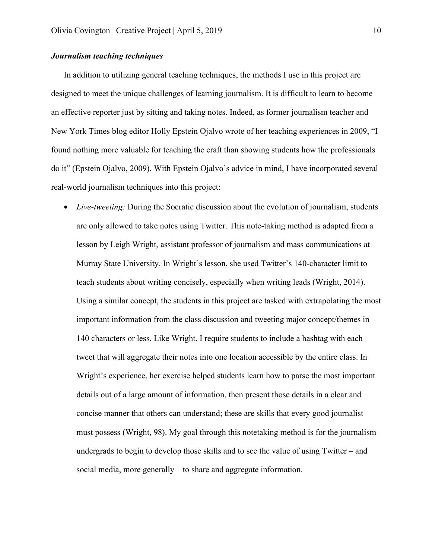### *Journalism teaching techniques*

In addition to utilizing general teaching techniques, the methods I use in this project are designed to meet the unique challenges of learning journalism. It is difficult to learn to become an effective reporter just by sitting and taking notes. Indeed, as former journalism teacher and New York Times blog editor Holly Epstein Ojalvo wrote of her teaching experiences in 2009, "I found nothing more valuable for teaching the craft than showing students how the professionals do it" (Epstein Ojalvo, 2009). With Epstein Ojalvo's advice in mind, I have incorporated several real-world journalism techniques into this project:

• *Live-tweeting:* During the Socratic discussion about the evolution of journalism, students are only allowed to take notes using Twitter. This note-taking method is adapted from a lesson by Leigh Wright, assistant professor of journalism and mass communications at Murray State University. In Wright's lesson, she used Twitter's 140-character limit to teach students about writing concisely, especially when writing leads (Wright, 2014). Using a similar concept, the students in this project are tasked with extrapolating the most important information from the class discussion and tweeting major concept/themes in 140 characters or less. Like Wright, I require students to include a hashtag with each tweet that will aggregate their notes into one location accessible by the entire class. In Wright's experience, her exercise helped students learn how to parse the most important details out of a large amount of information, then present those details in a clear and concise manner that others can understand; these are skills that every good journalist must possess (Wright, 98). My goal through this notetaking method is for the journalism undergrads to begin to develop those skills and to see the value of using Twitter – and social media, more generally – to share and aggregate information.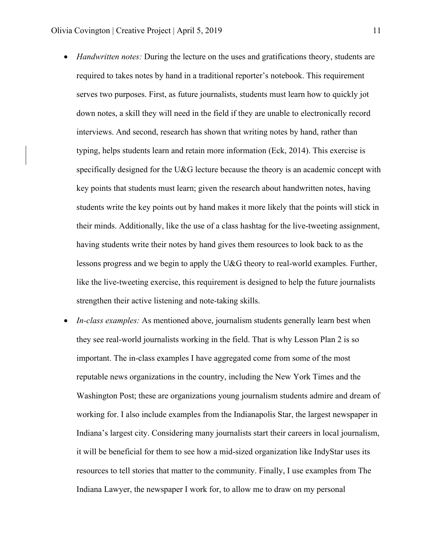- *Handwritten notes:* During the lecture on the uses and gratifications theory, students are required to takes notes by hand in a traditional reporter's notebook. This requirement serves two purposes. First, as future journalists, students must learn how to quickly jot down notes, a skill they will need in the field if they are unable to electronically record interviews. And second, research has shown that writing notes by hand, rather than typing, helps students learn and retain more information (Eck, 2014). This exercise is specifically designed for the U&G lecture because the theory is an academic concept with key points that students must learn; given the research about handwritten notes, having students write the key points out by hand makes it more likely that the points will stick in their minds. Additionally, like the use of a class hashtag for the live-tweeting assignment, having students write their notes by hand gives them resources to look back to as the lessons progress and we begin to apply the U&G theory to real-world examples. Further, like the live-tweeting exercise, this requirement is designed to help the future journalists strengthen their active listening and note-taking skills.
- *In-class examples:* As mentioned above, journalism students generally learn best when they see real-world journalists working in the field. That is why Lesson Plan 2 is so important. The in-class examples I have aggregated come from some of the most reputable news organizations in the country, including the New York Times and the Washington Post; these are organizations young journalism students admire and dream of working for. I also include examples from the Indianapolis Star, the largest newspaper in Indiana's largest city. Considering many journalists start their careers in local journalism, it will be beneficial for them to see how a mid-sized organization like IndyStar uses its resources to tell stories that matter to the community. Finally, I use examples from The Indiana Lawyer, the newspaper I work for, to allow me to draw on my personal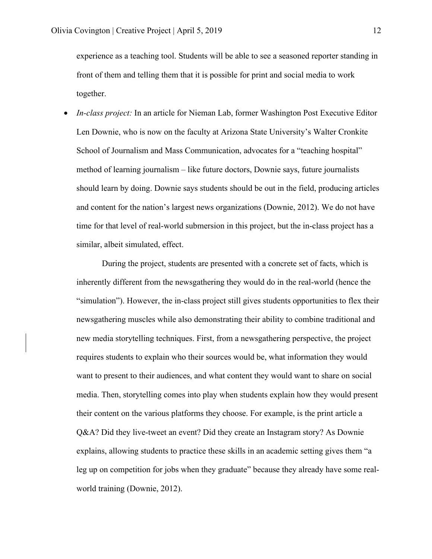experience as a teaching tool. Students will be able to see a seasoned reporter standing in front of them and telling them that it is possible for print and social media to work together.

• *In-class project:* In an article for Nieman Lab, former Washington Post Executive Editor Len Downie, who is now on the faculty at Arizona State University's Walter Cronkite School of Journalism and Mass Communication, advocates for a "teaching hospital" method of learning journalism – like future doctors, Downie says, future journalists should learn by doing. Downie says students should be out in the field, producing articles and content for the nation's largest news organizations (Downie, 2012). We do not have time for that level of real-world submersion in this project, but the in-class project has a similar, albeit simulated, effect.

During the project, students are presented with a concrete set of facts, which is inherently different from the newsgathering they would do in the real-world (hence the "simulation"). However, the in-class project still gives students opportunities to flex their newsgathering muscles while also demonstrating their ability to combine traditional and new media storytelling techniques. First, from a newsgathering perspective, the project requires students to explain who their sources would be, what information they would want to present to their audiences, and what content they would want to share on social media. Then, storytelling comes into play when students explain how they would present their content on the various platforms they choose. For example, is the print article a Q&A? Did they live-tweet an event? Did they create an Instagram story? As Downie explains, allowing students to practice these skills in an academic setting gives them "a leg up on competition for jobs when they graduate" because they already have some realworld training (Downie, 2012).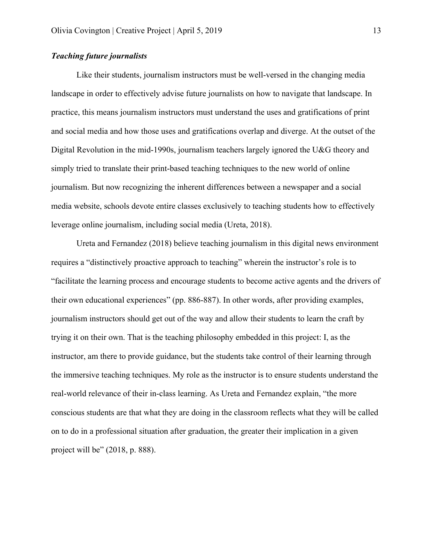### *Teaching future journalists*

Like their students, journalism instructors must be well-versed in the changing media landscape in order to effectively advise future journalists on how to navigate that landscape. In practice, this means journalism instructors must understand the uses and gratifications of print and social media and how those uses and gratifications overlap and diverge. At the outset of the Digital Revolution in the mid-1990s, journalism teachers largely ignored the U&G theory and simply tried to translate their print-based teaching techniques to the new world of online journalism. But now recognizing the inherent differences between a newspaper and a social media website, schools devote entire classes exclusively to teaching students how to effectively leverage online journalism, including social media (Ureta, 2018).

Ureta and Fernandez (2018) believe teaching journalism in this digital news environment requires a "distinctively proactive approach to teaching" wherein the instructor's role is to "facilitate the learning process and encourage students to become active agents and the drivers of their own educational experiences" (pp. 886-887). In other words, after providing examples, journalism instructors should get out of the way and allow their students to learn the craft by trying it on their own. That is the teaching philosophy embedded in this project: I, as the instructor, am there to provide guidance, but the students take control of their learning through the immersive teaching techniques. My role as the instructor is to ensure students understand the real-world relevance of their in-class learning. As Ureta and Fernandez explain, "the more conscious students are that what they are doing in the classroom reflects what they will be called on to do in a professional situation after graduation, the greater their implication in a given project will be" (2018, p. 888).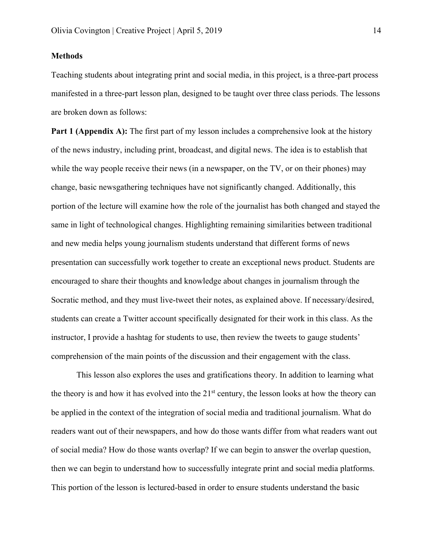### **Methods**

Teaching students about integrating print and social media, in this project, is a three-part process manifested in a three-part lesson plan, designed to be taught over three class periods. The lessons are broken down as follows:

**Part 1 (Appendix A):** The first part of my lesson includes a comprehensive look at the history of the news industry, including print, broadcast, and digital news. The idea is to establish that while the way people receive their news (in a newspaper, on the TV, or on their phones) may change, basic newsgathering techniques have not significantly changed. Additionally, this portion of the lecture will examine how the role of the journalist has both changed and stayed the same in light of technological changes. Highlighting remaining similarities between traditional and new media helps young journalism students understand that different forms of news presentation can successfully work together to create an exceptional news product. Students are encouraged to share their thoughts and knowledge about changes in journalism through the Socratic method, and they must live-tweet their notes, as explained above. If necessary/desired, students can create a Twitter account specifically designated for their work in this class. As the instructor, I provide a hashtag for students to use, then review the tweets to gauge students' comprehension of the main points of the discussion and their engagement with the class.

This lesson also explores the uses and gratifications theory. In addition to learning what the theory is and how it has evolved into the 21<sup>st</sup> century, the lesson looks at how the theory can be applied in the context of the integration of social media and traditional journalism. What do readers want out of their newspapers, and how do those wants differ from what readers want out of social media? How do those wants overlap? If we can begin to answer the overlap question, then we can begin to understand how to successfully integrate print and social media platforms. This portion of the lesson is lectured-based in order to ensure students understand the basic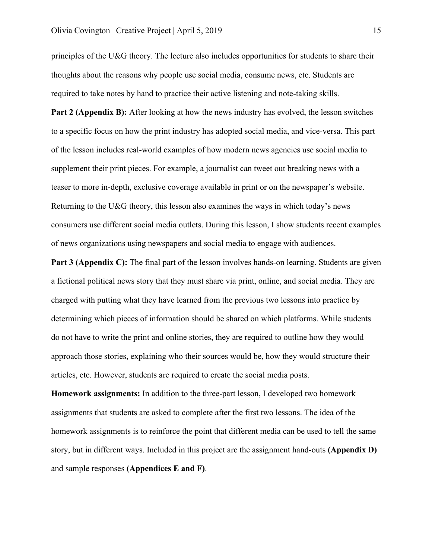principles of the U&G theory. The lecture also includes opportunities for students to share their thoughts about the reasons why people use social media, consume news, etc. Students are required to take notes by hand to practice their active listening and note-taking skills.

**Part 2 (Appendix B):** After looking at how the news industry has evolved, the lesson switches to a specific focus on how the print industry has adopted social media, and vice-versa. This part of the lesson includes real-world examples of how modern news agencies use social media to supplement their print pieces. For example, a journalist can tweet out breaking news with a teaser to more in-depth, exclusive coverage available in print or on the newspaper's website. Returning to the U&G theory, this lesson also examines the ways in which today's news consumers use different social media outlets. During this lesson, I show students recent examples of news organizations using newspapers and social media to engage with audiences.

**Part 3 (Appendix C):** The final part of the lesson involves hands-on learning. Students are given a fictional political news story that they must share via print, online, and social media. They are charged with putting what they have learned from the previous two lessons into practice by determining which pieces of information should be shared on which platforms. While students do not have to write the print and online stories, they are required to outline how they would approach those stories, explaining who their sources would be, how they would structure their articles, etc. However, students are required to create the social media posts.

**Homework assignments:** In addition to the three-part lesson, I developed two homework assignments that students are asked to complete after the first two lessons. The idea of the homework assignments is to reinforce the point that different media can be used to tell the same story, but in different ways. Included in this project are the assignment hand-outs **(Appendix D)**  and sample responses **(Appendices E and F)**.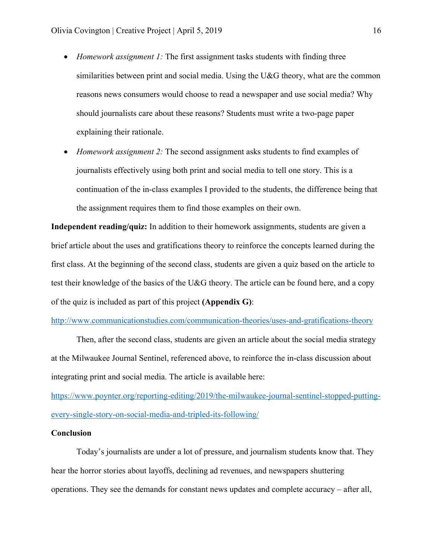- *Homework assignment 1:* The first assignment tasks students with finding three similarities between print and social media. Using the U&G theory, what are the common reasons news consumers would choose to read a newspaper and use social media? Why should journalists care about these reasons? Students must write a two-page paper explaining their rationale.
- *Homework assignment 2:* The second assignment asks students to find examples of journalists effectively using both print and social media to tell one story. This is a continuation of the in-class examples I provided to the students, the difference being that the assignment requires them to find those examples on their own.

**Independent reading/quiz:** In addition to their homework assignments, students are given a brief article about the uses and gratifications theory to reinforce the concepts learned during the first class. At the beginning of the second class, students are given a quiz based on the article to test their knowledge of the basics of the U&G theory. The article can be found here, and a copy of the quiz is included as part of this project **(Appendix G)**:

#### http://www.communicationstudies.com/communication-theories/uses-and-gratifications-theory

Then, after the second class, students are given an article about the social media strategy at the Milwaukee Journal Sentinel, referenced above, to reinforce the in-class discussion about integrating print and social media. The article is available here:

https://www.poynter.org/reporting-editing/2019/the-milwaukee-journal-sentinel-stopped-puttingevery-single-story-on-social-media-and-tripled-its-following/

#### **Conclusion**

Today's journalists are under a lot of pressure, and journalism students know that. They hear the horror stories about layoffs, declining ad revenues, and newspapers shuttering operations. They see the demands for constant news updates and complete accuracy – after all,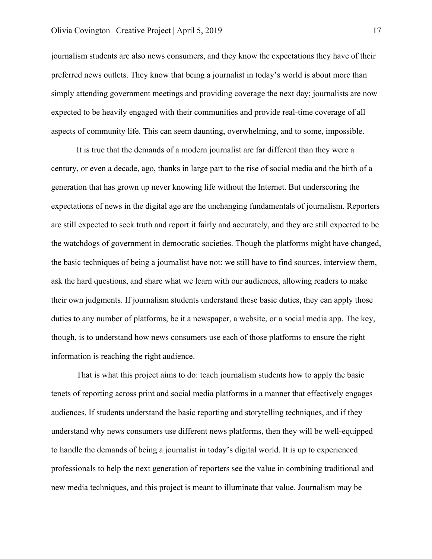journalism students are also news consumers, and they know the expectations they have of their preferred news outlets. They know that being a journalist in today's world is about more than simply attending government meetings and providing coverage the next day; journalists are now expected to be heavily engaged with their communities and provide real-time coverage of all aspects of community life. This can seem daunting, overwhelming, and to some, impossible.

It is true that the demands of a modern journalist are far different than they were a century, or even a decade, ago, thanks in large part to the rise of social media and the birth of a generation that has grown up never knowing life without the Internet. But underscoring the expectations of news in the digital age are the unchanging fundamentals of journalism. Reporters are still expected to seek truth and report it fairly and accurately, and they are still expected to be the watchdogs of government in democratic societies. Though the platforms might have changed, the basic techniques of being a journalist have not: we still have to find sources, interview them, ask the hard questions, and share what we learn with our audiences, allowing readers to make their own judgments. If journalism students understand these basic duties, they can apply those duties to any number of platforms, be it a newspaper, a website, or a social media app. The key, though, is to understand how news consumers use each of those platforms to ensure the right information is reaching the right audience.

That is what this project aims to do: teach journalism students how to apply the basic tenets of reporting across print and social media platforms in a manner that effectively engages audiences. If students understand the basic reporting and storytelling techniques, and if they understand why news consumers use different news platforms, then they will be well-equipped to handle the demands of being a journalist in today's digital world. It is up to experienced professionals to help the next generation of reporters see the value in combining traditional and new media techniques, and this project is meant to illuminate that value. Journalism may be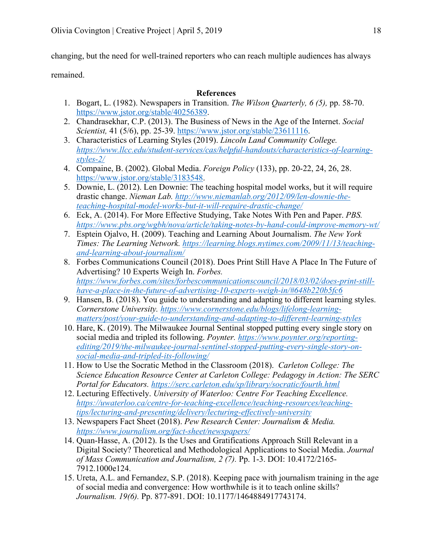changing, but the need for well-trained reporters who can reach multiple audiences has always

remained.

### **References**

- 1. Bogart, L. (1982). Newspapers in Transition. *The Wilson Quarterly, 6 (5),* pp. 58-70. https://www.jstor.org/stable/40256389.
- 2. Chandrasekhar, C.P. (2013). The Business of News in the Age of the Internet. *Social Scientist,* 41 (5/6), pp. 25-39. https://www.jstor.org/stable/23611116.
- 3. Characteristics of Learning Styles (2019). *Lincoln Land Community College. https://www.llcc.edu/student-services/cas/helpful-handouts/characteristics-of-learningstyles-2/*
- 4. Compaine, B. (2002). Global Media. *Foreign Policy* (133), pp. 20-22, 24, 26, 28. https://www.jstor.org/stable/3183548.
- 5. Downie, L. (2012). Len Downie: The teaching hospital model works, but it will require drastic change. *Nieman Lab. http://www.niemanlab.org/2012/09/len-downie-theteaching-hospital-model-works-but-it-will-require-drastic-change/*
- 6. Eck, A. (2014). For More Effective Studying, Take Notes With Pen and Paper. *PBS. https://www.pbs.org/wgbh/nova/article/taking-notes-by-hand-could-improve-memory-wt/*
- 7. Esptein Ojalvo, H. (2009). Teaching and Learning About Journalism. *The New York Times: The Learning Network. https://learning.blogs.nytimes.com/2009/11/13/teachingand-learning-about-journalism/*
- 8. Forbes Communications Council (2018). Does Print Still Have A Place In The Future of Advertising? 10 Experts Weigh In. *Forbes. https://www.forbes.com/sites/forbescommunicationscouncil/2018/03/02/does-print-stillhave-a-place-in-the-future-of-advertising-10-experts-weigh-in/#648b220b5fc6*
- 9. Hansen, B. (2018). You guide to understanding and adapting to different learning styles. *Cornerstone University. https://www.cornerstone.edu/blogs/lifelong-learningmatters/post/your-guide-to-understanding-and-adapting-to-different-learning-styles*
- 10. Hare, K. (2019). The Milwaukee Journal Sentinal stopped putting every single story on social media and tripled its following. *Poynter. https://www.poynter.org/reportingediting/2019/the-milwaukee-journal-sentinel-stopped-putting-every-single-story-onsocial-media-and-tripled-its-following/*
- 11. How to Use the Socratic Method in the Classroom (2018). *Carleton College: The Science Education Resource Center at Carleton College: Pedagogy in Action: The SERC Portal for Educators. https://serc.carleton.edu/sp/library/socratic/fourth.html*
- 12. Lecturing Effectively. *University of Waterloo: Centre For Teaching Excellence. https://uwaterloo.ca/centre-for-teaching-excellence/teaching-resources/teachingtips/lecturing-and-presenting/delivery/lecturing-effectively-university*
- 13. Newspapers Fact Sheet (2018). *Pew Research Center: Journalism & Media. https://www.journalism.org/fact-sheet/newspapers/*
- 14. Quan-Hasse, A. (2012). Is the Uses and Gratifications Approach Still Relevant in a Digital Society? Theoretical and Methodological Applications to Social Media. *Journal of Mass Communication and Journalism, 2 (7).* Pp. 1-3. DOI: 10.4172/2165- 7912.1000e124.
- 15. Ureta, A.L. and Fernandez, S.P. (2018). Keeping pace with journalism training in the age of social media and convergence: How worthwhile is it to teach online skills? *Journalism. 19(6).* Pp. 877-891. DOI: 10.1177/1464884917743174.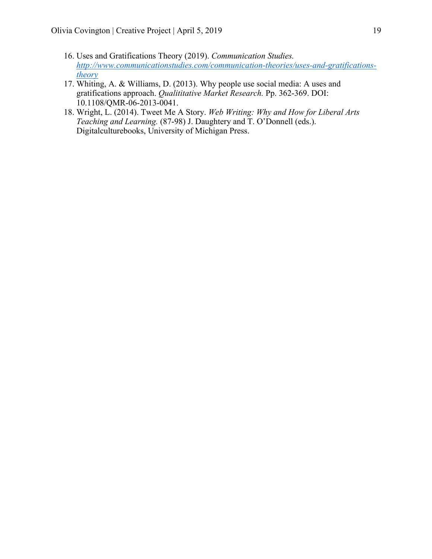- 16. Uses and Gratifications Theory (2019). *Communication Studies. http://www.communicationstudies.com/communication-theories/uses-and-gratificationstheory*
- 17. Whiting, A. & Williams, D. (2013). Why people use social media: A uses and gratifications approach. *Qualititative Market Research.* Pp. 362-369. DOI: 10.1108/QMR-06-2013-0041.
- 18. Wright, L. (2014). Tweet Me A Story. *Web Writing: Why and How for Liberal Arts Teaching and Learning.* (87-98) J. Daughtery and T. O'Donnell (eds.). Digitalculturebooks, University of Michigan Press.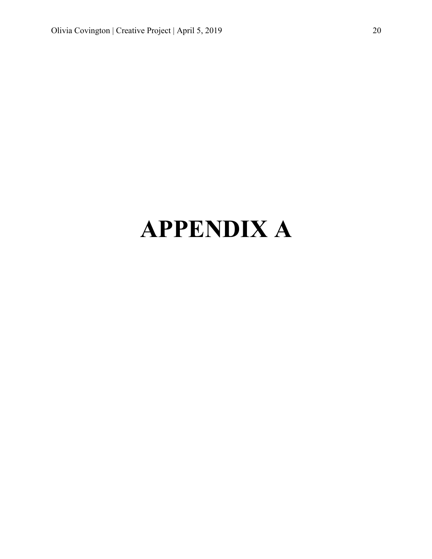# **APPENDIX A**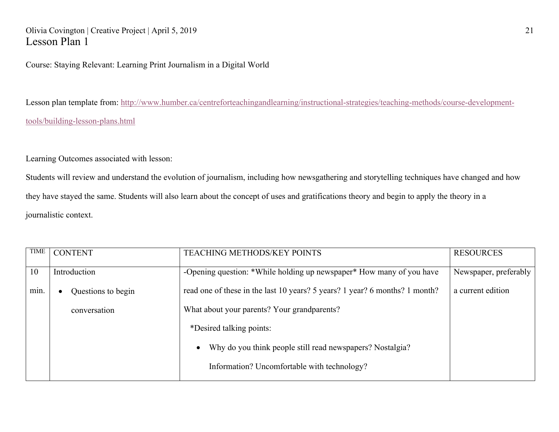### Olivia Covington | Creative Project | April 5, 2019 21 Lesson Plan 1

Course: Staying Relevant: Learning Print Journalism in a Digital World

Lesson plan template from: http://www.humber.ca/centreforteachingandlearning/instructional-strategies/teaching-methods/course-developmenttools/building-lesson-plans.html

Learning Outcomes associated with lesson:

Students will review and understand the evolution of journalism, including how newsgathering and storytelling techniques have changed and how they have stayed the same. Students will also learn about the concept of uses and gratifications theory and begin to apply the theory in a journalistic context.

| <b>TIME</b> | <b>CONTENT</b>     | TEACHING METHODS/KEY POINTS                                                 | <b>RESOURCES</b>      |
|-------------|--------------------|-----------------------------------------------------------------------------|-----------------------|
| 10          | Introduction       | -Opening question: *While holding up newspaper* How many of you have        | Newspaper, preferably |
| min.        | Questions to begin | read one of these in the last 10 years? 5 years? 1 year? 6 months? 1 month? | a current edition     |
|             | conversation       | What about your parents? Your grandparents?                                 |                       |
|             |                    | *Desired talking points:                                                    |                       |
|             |                    | Why do you think people still read newspapers? Nostalgia?<br>$\bullet$      |                       |
|             |                    | Information? Uncomfortable with technology?                                 |                       |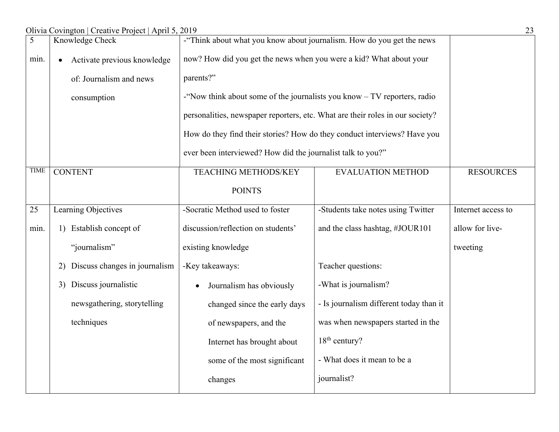|             | Olivia Covington   Creative Project   April 5, 2019<br>23 |                                                                               |                                                                    |                    |  |
|-------------|-----------------------------------------------------------|-------------------------------------------------------------------------------|--------------------------------------------------------------------|--------------------|--|
| 5           | Knowledge Check                                           | -"Think about what you know about journalism. How do you get the news         |                                                                    |                    |  |
| min.        | Activate previous knowledge<br>$\bullet$                  |                                                                               | now? How did you get the news when you were a kid? What about your |                    |  |
|             | of: Journalism and news                                   | parents?"                                                                     |                                                                    |                    |  |
|             | consumption                                               | -"Now think about some of the journalists you know $- TV$ reporters, radio    |                                                                    |                    |  |
|             |                                                           | personalities, newspaper reporters, etc. What are their roles in our society? |                                                                    |                    |  |
|             |                                                           | How do they find their stories? How do they conduct interviews? Have you      |                                                                    |                    |  |
|             |                                                           | ever been interviewed? How did the journalist talk to you?"                   |                                                                    |                    |  |
| <b>TIME</b> | <b>CONTENT</b>                                            | <b>TEACHING METHODS/KEY</b>                                                   | <b>EVALUATION METHOD</b>                                           | <b>RESOURCES</b>   |  |
|             |                                                           | <b>POINTS</b>                                                                 |                                                                    |                    |  |
| 25          | Learning Objectives                                       | -Socratic Method used to foster                                               | -Students take notes using Twitter                                 | Internet access to |  |
| min.        | 1) Establish concept of                                   | discussion/reflection on students'                                            | and the class hashtag, #JOUR101                                    | allow for live-    |  |
|             | "journalism"                                              | existing knowledge                                                            |                                                                    | tweeting           |  |
|             | Discuss changes in journalism<br>2)                       | -Key takeaways:                                                               | Teacher questions:                                                 |                    |  |
|             | Discuss journalistic<br>3)                                | Journalism has obviously                                                      | -What is journalism?                                               |                    |  |
|             | newsgathering, storytelling                               | changed since the early days                                                  | - Is journalism different today than it                            |                    |  |
|             | techniques                                                | of newspapers, and the                                                        | was when newspapers started in the                                 |                    |  |
|             |                                                           | Internet has brought about                                                    | 18 <sup>th</sup> century?                                          |                    |  |
|             |                                                           | some of the most significant                                                  | - What does it mean to be a                                        |                    |  |
|             |                                                           | changes                                                                       | journalist?                                                        |                    |  |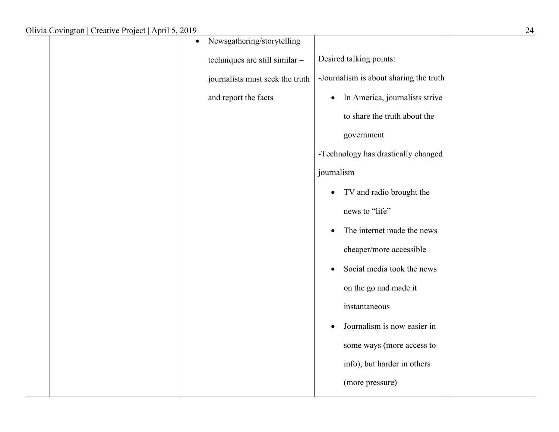|  | Newsgathering/storytelling<br>$\bullet$ |                                             |  |
|--|-----------------------------------------|---------------------------------------------|--|
|  | techniques are still similar -          | Desired talking points:                     |  |
|  | journalists must seek the truth         | -Journalism is about sharing the truth      |  |
|  | and report the facts                    | In America, journalists strive<br>$\bullet$ |  |
|  |                                         | to share the truth about the                |  |
|  |                                         | government                                  |  |
|  |                                         | -Technology has drastically changed         |  |
|  |                                         | journalism                                  |  |
|  |                                         | TV and radio brought the<br>$\bullet$       |  |
|  |                                         | news to "life"                              |  |
|  |                                         | The internet made the news<br>$\bullet$     |  |
|  |                                         | cheaper/more accessible                     |  |
|  |                                         | Social media took the news<br>$\bullet$     |  |
|  |                                         | on the go and made it                       |  |
|  |                                         | instantaneous                               |  |
|  |                                         | Journalism is now easier in<br>$\bullet$    |  |
|  |                                         | some ways (more access to                   |  |
|  |                                         | info), but harder in others                 |  |
|  |                                         | (more pressure)                             |  |
|  |                                         |                                             |  |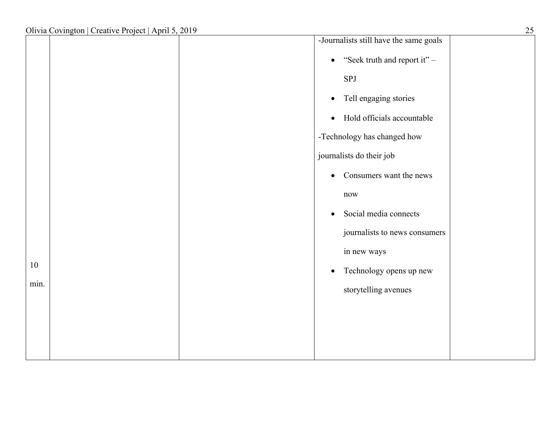|      | Olivia Covington   Creative Project   April 5, 2019 |                             | 25                                     |
|------|-----------------------------------------------------|-----------------------------|----------------------------------------|
|      |                                                     |                             | -Journalists still have the same goals |
|      |                                                     |                             | • "Seek truth and report it" $-$       |
|      |                                                     | SPJ                         |                                        |
|      |                                                     | $\bullet$                   | Tell engaging stories                  |
|      |                                                     | $\bullet$                   | Hold officials accountable             |
|      |                                                     | -Technology has changed how |                                        |
|      |                                                     | journalists do their job    |                                        |
|      |                                                     | $\bullet$                   | Consumers want the news                |
|      |                                                     | now                         |                                        |
|      |                                                     | $\bullet$                   | Social media connects                  |
|      |                                                     |                             | journalists to news consumers          |
|      |                                                     | in new ways                 |                                        |
| 10   |                                                     | $\bullet$                   | Technology opens up new                |
| min. |                                                     |                             | storytelling avenues                   |
|      |                                                     |                             |                                        |
|      |                                                     |                             |                                        |
|      |                                                     |                             |                                        |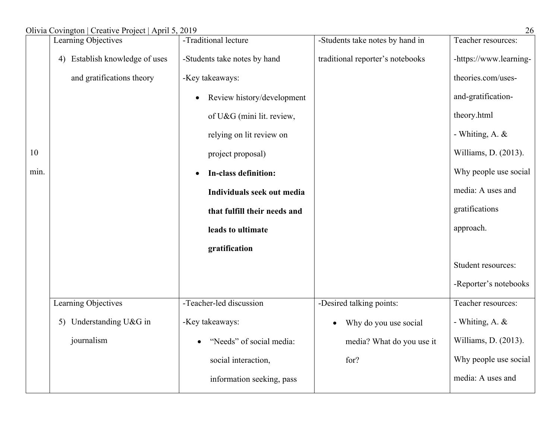| Olivia Covington   Creative Project   April 5, 2019 |  |  |
|-----------------------------------------------------|--|--|
|                                                     |  |  |

|      | $\frac{1}{2}$<br>Learning Objectives | -Traditional lecture         | -Students take notes by hand in    | Teacher resources:     |
|------|--------------------------------------|------------------------------|------------------------------------|------------------------|
|      | Establish knowledge of uses<br>4)    | -Students take notes by hand | traditional reporter's notebooks   | -https://www.learning- |
|      | and gratifications theory            | -Key takeaways:              |                                    | theories.com/uses-     |
|      |                                      | Review history/development   |                                    | and-gratification-     |
|      |                                      | of U&G (mini lit. review,    |                                    | theory.html            |
|      |                                      | relying on lit review on     |                                    | - Whiting, A. &        |
| 10   |                                      | project proposal)            |                                    | Williams, D. (2013).   |
| min. |                                      | In-class definition:         |                                    | Why people use social  |
|      |                                      | Individuals seek out media   |                                    | media: A uses and      |
|      |                                      | that fulfill their needs and |                                    | gratifications         |
|      |                                      | leads to ultimate            |                                    | approach.              |
|      |                                      | gratification                |                                    |                        |
|      |                                      |                              |                                    | Student resources:     |
|      |                                      |                              |                                    | -Reporter's notebooks  |
|      | Learning Objectives                  | -Teacher-led discussion      | -Desired talking points:           | Teacher resources:     |
|      | 5) Understanding U&G in              | -Key takeaways:              | Why do you use social<br>$\bullet$ | - Whiting, A. &        |
|      | journalism                           | "Needs" of social media:     | media? What do you use it          | Williams, D. (2013).   |
|      |                                      | social interaction,          | for?                               | Why people use social  |
|      |                                      | information seeking, pass    |                                    | media: A uses and      |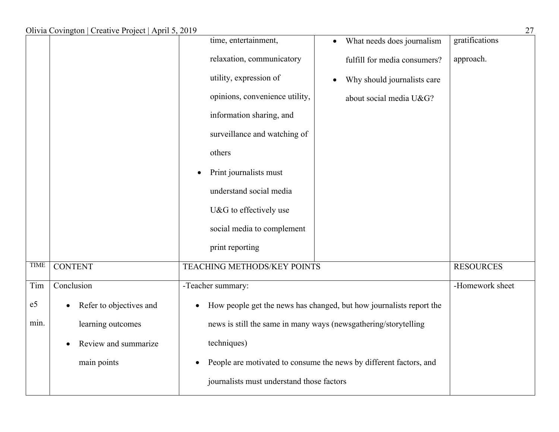|                |                         | time, entertainment,                      | What needs does journalism<br>$\bullet$                             | gratifications   |
|----------------|-------------------------|-------------------------------------------|---------------------------------------------------------------------|------------------|
|                |                         | relaxation, communicatory                 | fulfill for media consumers?                                        | approach.        |
|                |                         | utility, expression of                    | Why should journalists care<br>$\bullet$                            |                  |
|                |                         | opinions, convenience utility,            | about social media U&G?                                             |                  |
|                |                         | information sharing, and                  |                                                                     |                  |
|                |                         | surveillance and watching of              |                                                                     |                  |
|                |                         | others                                    |                                                                     |                  |
|                |                         | Print journalists must<br>$\bullet$       |                                                                     |                  |
|                |                         | understand social media                   |                                                                     |                  |
|                |                         | U&G to effectively use                    |                                                                     |                  |
|                |                         | social media to complement                |                                                                     |                  |
|                |                         | print reporting                           |                                                                     |                  |
| <b>TIME</b>    | <b>CONTENT</b>          | <b>TEACHING METHODS/KEY POINTS</b>        |                                                                     | <b>RESOURCES</b> |
| Tim            | Conclusion              | -Teacher summary:                         |                                                                     | -Homework sheet  |
| e <sub>5</sub> | Refer to objectives and | $\bullet$                                 | How people get the news has changed, but how journalists report the |                  |
| min.           | learning outcomes       |                                           | news is still the same in many ways (newsgathering/storytelling     |                  |
|                | Review and summarize    | techniques)                               |                                                                     |                  |
|                | main points             |                                           | People are motivated to consume the news by different factors, and  |                  |
|                |                         | journalists must understand those factors |                                                                     |                  |
|                |                         |                                           |                                                                     |                  |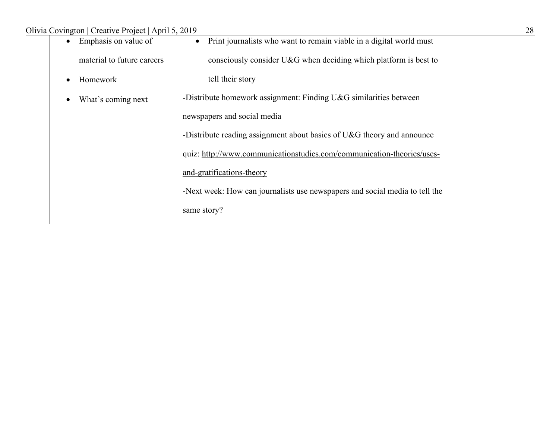| Emphasis on value of       | Print journalists who want to remain viable in a digital world must<br>$\bullet$ |  |
|----------------------------|----------------------------------------------------------------------------------|--|
| material to future careers | consciously consider U&G when deciding which platform is best to                 |  |
| Homework                   | tell their story                                                                 |  |
| What's coming next         | -Distribute homework assignment: Finding $U&G$ similarities between              |  |
|                            | newspapers and social media                                                      |  |
|                            | -Distribute reading assignment about basics of $U&G$ theory and announce         |  |
|                            | quiz: http://www.communicationstudies.com/communication-theories/uses-           |  |
|                            | and-gratifications-theory                                                        |  |
|                            | -Next week: How can journalists use newspapers and social media to tell the      |  |
|                            | same story?                                                                      |  |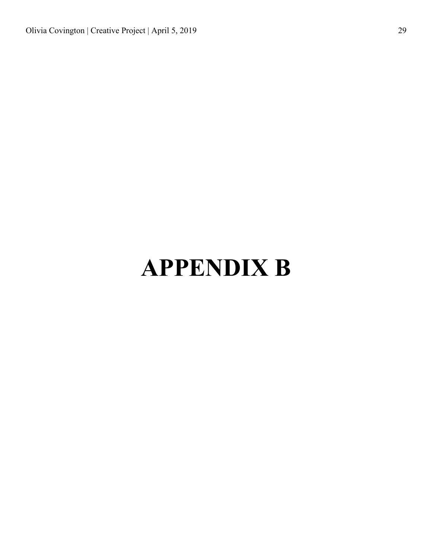# **APPENDIX B**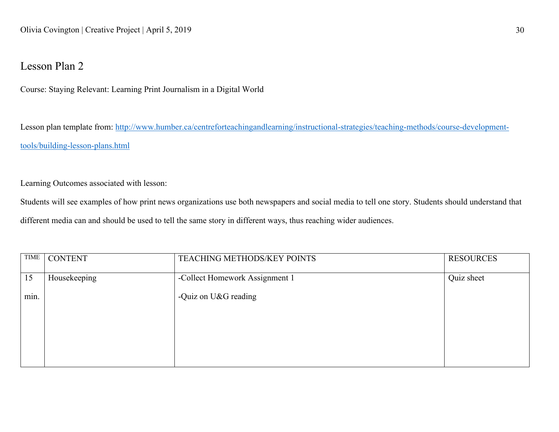### Lesson Plan 2

Course: Staying Relevant: Learning Print Journalism in a Digital World

Lesson plan template from: http://www.humber.ca/centreforteachingandlearning/instructional-strategies/teaching-methods/course-developmenttools/building-lesson-plans.html

Learning Outcomes associated with lesson:

Students will see examples of how print news organizations use both newspapers and social media to tell one story. Students should understand that different media can and should be used to tell the same story in different ways, thus reaching wider audiences.

| <b>TIME</b>       | <b>CONTENT</b> | TEACHING METHODS/KEY POINTS    | <b>RESOURCES</b> |
|-------------------|----------------|--------------------------------|------------------|
| 15                | Housekeeping   | -Collect Homework Assignment 1 | Quiz sheet       |
|                   |                |                                |                  |
| $\bullet$<br>min. |                | -Quiz on U&G reading           |                  |
|                   |                |                                |                  |
|                   |                |                                |                  |
|                   |                |                                |                  |
|                   |                |                                |                  |
|                   |                |                                |                  |
|                   |                |                                |                  |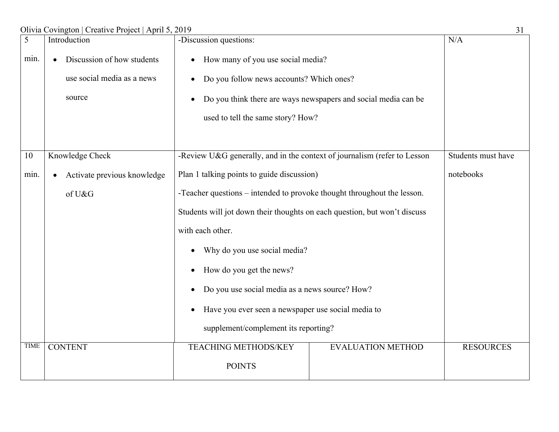| $\overline{5}$ | Introduction                             | -Discussion questions:                                                    |                                                                | N/A                |
|----------------|------------------------------------------|---------------------------------------------------------------------------|----------------------------------------------------------------|--------------------|
| min.           | Discussion of how students               | How many of you use social media?<br>$\bullet$                            |                                                                |                    |
|                | use social media as a news               | Do you follow news accounts? Which ones?<br>$\bullet$                     |                                                                |                    |
|                | source                                   | $\bullet$                                                                 | Do you think there are ways newspapers and social media can be |                    |
|                |                                          | used to tell the same story? How?                                         |                                                                |                    |
|                |                                          |                                                                           |                                                                |                    |
| 10             | Knowledge Check                          | -Review U&G generally, and in the context of journalism (refer to Lesson  |                                                                | Students must have |
| min.           | Activate previous knowledge<br>$\bullet$ | Plan 1 talking points to guide discussion)                                |                                                                | notebooks          |
|                | of U&G                                   | -Teacher questions – intended to provoke thought throughout the lesson.   |                                                                |                    |
|                |                                          | Students will jot down their thoughts on each question, but won't discuss |                                                                |                    |
|                |                                          | with each other.                                                          |                                                                |                    |
|                |                                          | Why do you use social media?                                              |                                                                |                    |
|                |                                          | How do you get the news?<br>$\bullet$                                     |                                                                |                    |
|                |                                          | Do you use social media as a news source? How?<br>$\bullet$               |                                                                |                    |
|                |                                          | Have you ever seen a newspaper use social media to<br>$\bullet$           |                                                                |                    |
|                |                                          | supplement/complement its reporting?                                      |                                                                |                    |
| <b>TIME</b>    | <b>CONTENT</b>                           | <b>TEACHING METHODS/KEY</b>                                               | <b>EVALUATION METHOD</b>                                       | <b>RESOURCES</b>   |
|                |                                          | <b>POINTS</b>                                                             |                                                                |                    |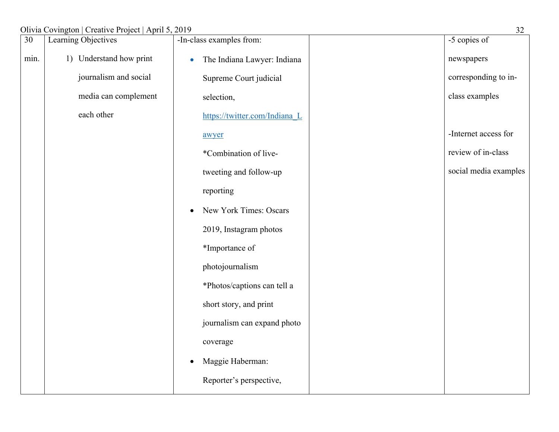### Olivia Covington | Creative Project | April 5, 2019 32

|      | $\frac{1}{2}$           |                                          |                       |
|------|-------------------------|------------------------------------------|-----------------------|
| 30   | Learning Objectives     | -In-class examples from:                 | -5 copies of          |
| min. | 1) Understand how print | The Indiana Lawyer: Indiana<br>$\bullet$ | newspapers            |
|      | journalism and social   | Supreme Court judicial                   | corresponding to in-  |
|      | media can complement    | selection,                               | class examples        |
|      | each other              | https://twitter.com/Indiana L            |                       |
|      |                         | awyer                                    | -Internet access for  |
|      |                         | *Combination of live-                    | review of in-class    |
|      |                         | tweeting and follow-up                   | social media examples |
|      |                         | reporting                                |                       |
|      |                         | New York Times: Oscars<br>٠              |                       |
|      |                         | 2019, Instagram photos                   |                       |
|      |                         | *Importance of                           |                       |
|      |                         | photojournalism                          |                       |
|      |                         | *Photos/captions can tell a              |                       |
|      |                         | short story, and print                   |                       |
|      |                         | journalism can expand photo              |                       |
|      |                         | coverage                                 |                       |
|      |                         | Maggie Haberman:<br>$\bullet$            |                       |
|      |                         | Reporter's perspective,                  |                       |
|      |                         |                                          |                       |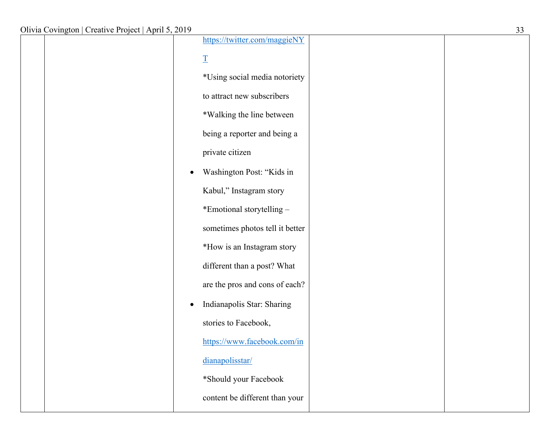|  | https://twitter.com/maggieNY            |  |
|--|-----------------------------------------|--|
|  | $\underline{\mathbf{T}}$                |  |
|  | *Using social media notoriety           |  |
|  | to attract new subscribers              |  |
|  | *Walking the line between               |  |
|  | being a reporter and being a            |  |
|  | private citizen                         |  |
|  | Washington Post: "Kids in<br>$\bullet$  |  |
|  | Kabul," Instagram story                 |  |
|  | *Emotional storytelling -               |  |
|  | sometimes photos tell it better         |  |
|  | *How is an Instagram story              |  |
|  | different than a post? What             |  |
|  | are the pros and cons of each?          |  |
|  | Indianapolis Star: Sharing<br>$\bullet$ |  |
|  | stories to Facebook,                    |  |
|  | https://www.facebook.com/in             |  |
|  | dianapolisstar/                         |  |
|  | *Should your Facebook                   |  |
|  | content be different than your          |  |
|  |                                         |  |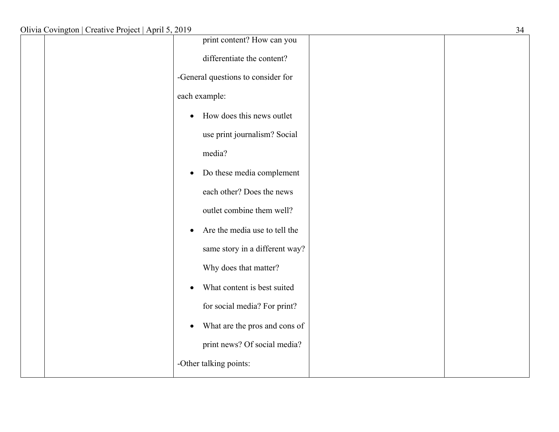| print content? How can you                 |  |
|--------------------------------------------|--|
| differentiate the content?                 |  |
| -General questions to consider for         |  |
| each example:                              |  |
| How does this news outlet<br>$\bullet$     |  |
| use print journalism? Social               |  |
| media?                                     |  |
| Do these media complement<br>$\bullet$     |  |
| each other? Does the news                  |  |
| outlet combine them well?                  |  |
| Are the media use to tell the<br>$\bullet$ |  |
| same story in a different way?             |  |
| Why does that matter?                      |  |
| What content is best suited<br>$\bullet$   |  |
| for social media? For print?               |  |
| What are the pros and cons of<br>$\bullet$ |  |
| print news? Of social media?               |  |
| -Other talking points:                     |  |
|                                            |  |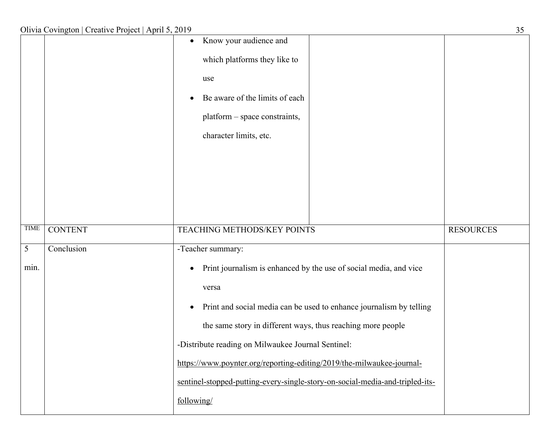|             |                | Know your audience and<br>$\bullet$<br>which platforms they like to<br>use<br>Be aware of the limits of each<br>$\bullet$<br>platform - space constraints,<br>character limits, etc.                                                                                                                                                                                                                                                                                                         |                  |
|-------------|----------------|----------------------------------------------------------------------------------------------------------------------------------------------------------------------------------------------------------------------------------------------------------------------------------------------------------------------------------------------------------------------------------------------------------------------------------------------------------------------------------------------|------------------|
| <b>TIME</b> | <b>CONTENT</b> | TEACHING METHODS/KEY POINTS                                                                                                                                                                                                                                                                                                                                                                                                                                                                  | <b>RESOURCES</b> |
| 5<br>min.   | Conclusion     | -Teacher summary:<br>Print journalism is enhanced by the use of social media, and vice<br>$\bullet$<br>versa<br>Print and social media can be used to enhance journalism by telling<br>$\bullet$<br>the same story in different ways, thus reaching more people<br>-Distribute reading on Milwaukee Journal Sentinel:<br>https://www.poynter.org/reporting-editing/2019/the-milwaukee-journal-<br>sentinel-stopped-putting-every-single-story-on-social-media-and-tripled-its-<br>following/ |                  |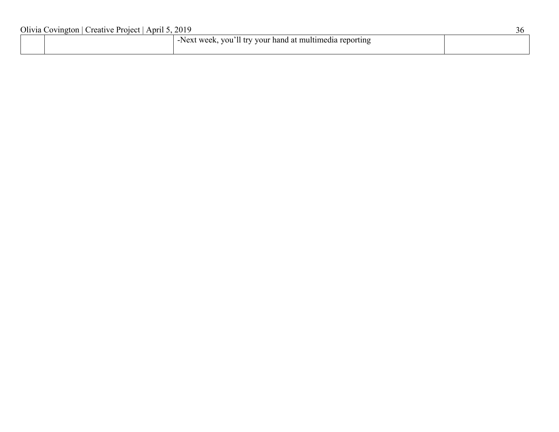| Olivia Covington   Creative Project   April 5, 2019 |  |                                                          | 36 |
|-----------------------------------------------------|--|----------------------------------------------------------|----|
|                                                     |  | -Next week, you'll try your hand at multimedia reporting |    |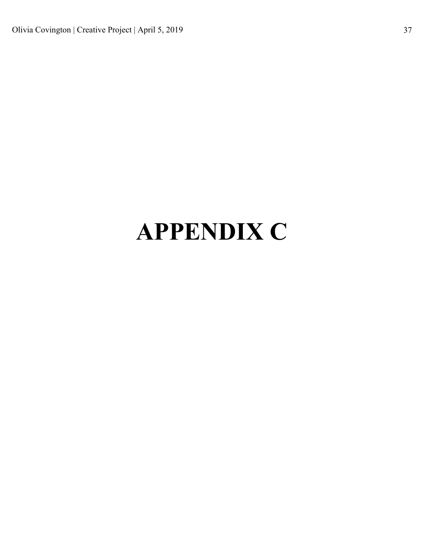# **APPENDIX C**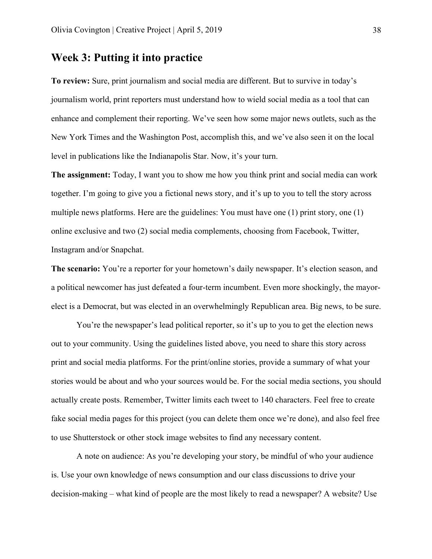### **Week 3: Putting it into practice**

**To review:** Sure, print journalism and social media are different. But to survive in today's journalism world, print reporters must understand how to wield social media as a tool that can enhance and complement their reporting. We've seen how some major news outlets, such as the New York Times and the Washington Post, accomplish this, and we've also seen it on the local level in publications like the Indianapolis Star. Now, it's your turn.

**The assignment:** Today, I want you to show me how you think print and social media can work together. I'm going to give you a fictional news story, and it's up to you to tell the story across multiple news platforms. Here are the guidelines: You must have one (1) print story, one (1) online exclusive and two (2) social media complements, choosing from Facebook, Twitter, Instagram and/or Snapchat.

**The scenario:** You're a reporter for your hometown's daily newspaper. It's election season, and a political newcomer has just defeated a four-term incumbent. Even more shockingly, the mayorelect is a Democrat, but was elected in an overwhelmingly Republican area. Big news, to be sure.

You're the newspaper's lead political reporter, so it's up to you to get the election news out to your community. Using the guidelines listed above, you need to share this story across print and social media platforms. For the print/online stories, provide a summary of what your stories would be about and who your sources would be. For the social media sections, you should actually create posts. Remember, Twitter limits each tweet to 140 characters. Feel free to create fake social media pages for this project (you can delete them once we're done), and also feel free to use Shutterstock or other stock image websites to find any necessary content.

A note on audience: As you're developing your story, be mindful of who your audience is. Use your own knowledge of news consumption and our class discussions to drive your decision-making – what kind of people are the most likely to read a newspaper? A website? Use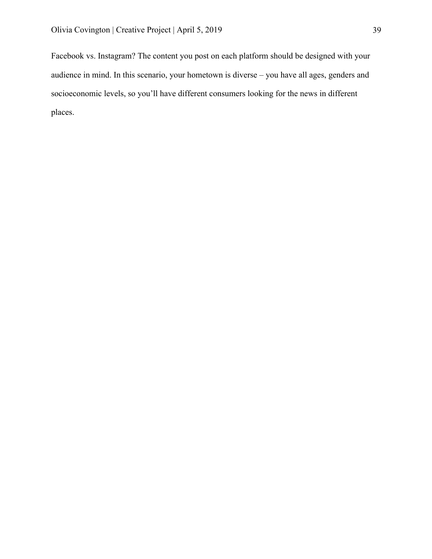Facebook vs. Instagram? The content you post on each platform should be designed with your audience in mind. In this scenario, your hometown is diverse – you have all ages, genders and socioeconomic levels, so you'll have different consumers looking for the news in different places.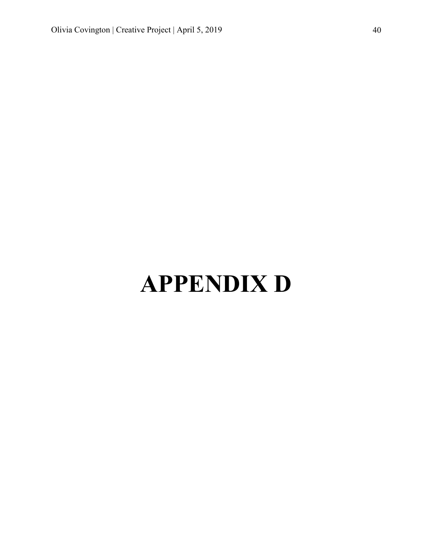# **APPENDIX D**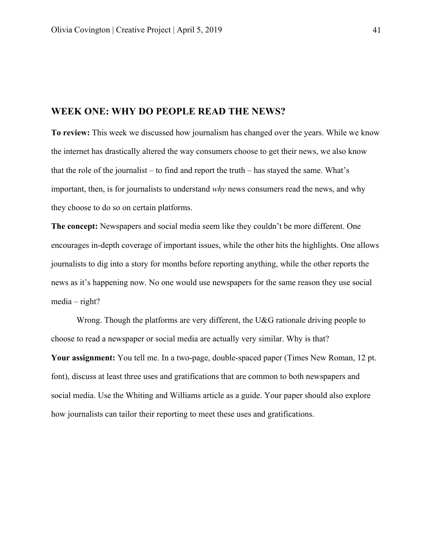### **WEEK ONE: WHY DO PEOPLE READ THE NEWS?**

**To review:** This week we discussed how journalism has changed over the years. While we know the internet has drastically altered the way consumers choose to get their news, we also know that the role of the journalist – to find and report the truth – has stayed the same. What's important, then, is for journalists to understand *why* news consumers read the news, and why they choose to do so on certain platforms.

**The concept:** Newspapers and social media seem like they couldn't be more different. One encourages in-depth coverage of important issues, while the other hits the highlights. One allows journalists to dig into a story for months before reporting anything, while the other reports the news as it's happening now. No one would use newspapers for the same reason they use social media – right?

Wrong. Though the platforms are very different, the U&G rationale driving people to choose to read a newspaper or social media are actually very similar. Why is that? **Your assignment:** You tell me. In a two-page, double-spaced paper (Times New Roman, 12 pt. font), discuss at least three uses and gratifications that are common to both newspapers and social media. Use the Whiting and Williams article as a guide. Your paper should also explore how journalists can tailor their reporting to meet these uses and gratifications.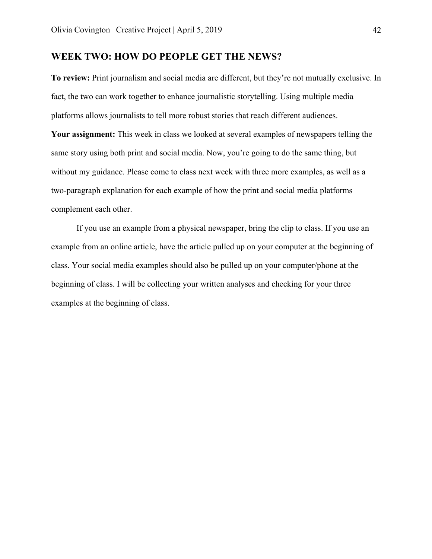### **WEEK TWO: HOW DO PEOPLE GET THE NEWS?**

**To review:** Print journalism and social media are different, but they're not mutually exclusive. In fact, the two can work together to enhance journalistic storytelling. Using multiple media platforms allows journalists to tell more robust stories that reach different audiences. **Your assignment:** This week in class we looked at several examples of newspapers telling the same story using both print and social media. Now, you're going to do the same thing, but without my guidance. Please come to class next week with three more examples, as well as a two-paragraph explanation for each example of how the print and social media platforms complement each other.

If you use an example from a physical newspaper, bring the clip to class. If you use an example from an online article, have the article pulled up on your computer at the beginning of class. Your social media examples should also be pulled up on your computer/phone at the beginning of class. I will be collecting your written analyses and checking for your three examples at the beginning of class.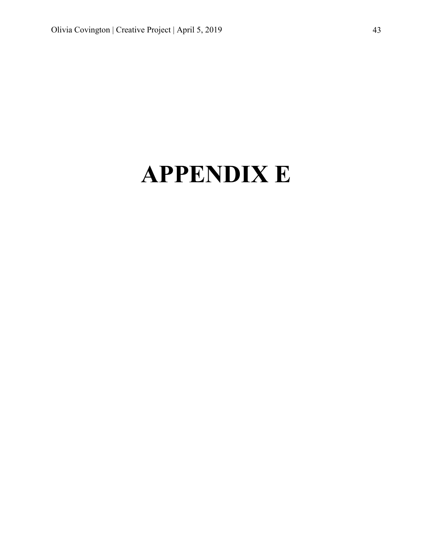### **APPENDIX E**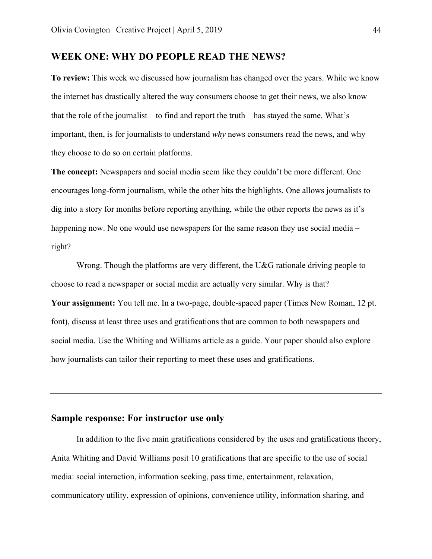### **WEEK ONE: WHY DO PEOPLE READ THE NEWS?**

**To review:** This week we discussed how journalism has changed over the years. While we know the internet has drastically altered the way consumers choose to get their news, we also know that the role of the journalist – to find and report the truth – has stayed the same. What's important, then, is for journalists to understand *why* news consumers read the news, and why they choose to do so on certain platforms.

**The concept:** Newspapers and social media seem like they couldn't be more different. One encourages long-form journalism, while the other hits the highlights. One allows journalists to dig into a story for months before reporting anything, while the other reports the news as it's happening now. No one would use newspapers for the same reason they use social media – right?

Wrong. Though the platforms are very different, the U&G rationale driving people to choose to read a newspaper or social media are actually very similar. Why is that? **Your assignment:** You tell me. In a two-page, double-spaced paper (Times New Roman, 12 pt. font), discuss at least three uses and gratifications that are common to both newspapers and social media. Use the Whiting and Williams article as a guide. Your paper should also explore how journalists can tailor their reporting to meet these uses and gratifications.

### **Sample response: For instructor use only**

In addition to the five main gratifications considered by the uses and gratifications theory, Anita Whiting and David Williams posit 10 gratifications that are specific to the use of social media: social interaction, information seeking, pass time, entertainment, relaxation, communicatory utility, expression of opinions, convenience utility, information sharing, and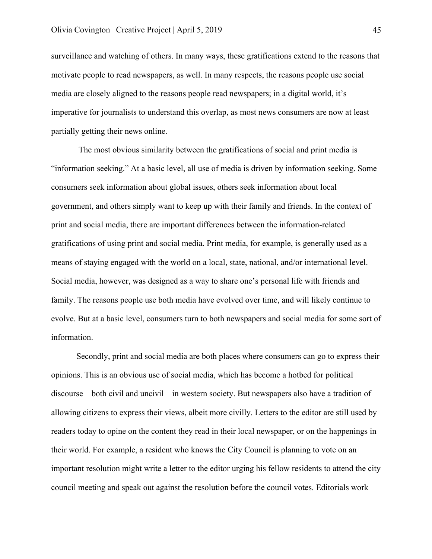surveillance and watching of others. In many ways, these gratifications extend to the reasons that motivate people to read newspapers, as well. In many respects, the reasons people use social media are closely aligned to the reasons people read newspapers; in a digital world, it's imperative for journalists to understand this overlap, as most news consumers are now at least partially getting their news online.

The most obvious similarity between the gratifications of social and print media is "information seeking." At a basic level, all use of media is driven by information seeking. Some consumers seek information about global issues, others seek information about local government, and others simply want to keep up with their family and friends. In the context of print and social media, there are important differences between the information-related gratifications of using print and social media. Print media, for example, is generally used as a means of staying engaged with the world on a local, state, national, and/or international level. Social media, however, was designed as a way to share one's personal life with friends and family. The reasons people use both media have evolved over time, and will likely continue to evolve. But at a basic level, consumers turn to both newspapers and social media for some sort of information.

Secondly, print and social media are both places where consumers can go to express their opinions. This is an obvious use of social media, which has become a hotbed for political discourse – both civil and uncivil – in western society. But newspapers also have a tradition of allowing citizens to express their views, albeit more civilly. Letters to the editor are still used by readers today to opine on the content they read in their local newspaper, or on the happenings in their world. For example, a resident who knows the City Council is planning to vote on an important resolution might write a letter to the editor urging his fellow residents to attend the city council meeting and speak out against the resolution before the council votes. Editorials work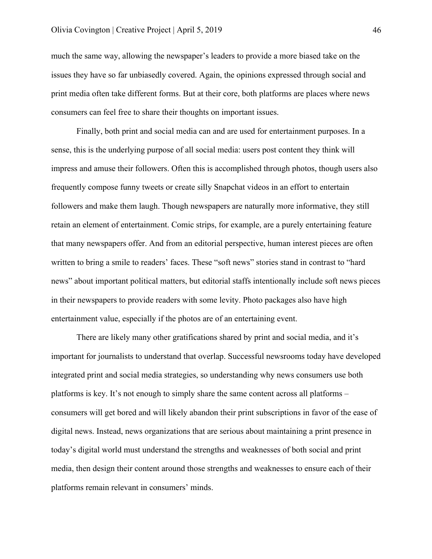much the same way, allowing the newspaper's leaders to provide a more biased take on the issues they have so far unbiasedly covered. Again, the opinions expressed through social and print media often take different forms. But at their core, both platforms are places where news consumers can feel free to share their thoughts on important issues.

Finally, both print and social media can and are used for entertainment purposes. In a sense, this is the underlying purpose of all social media: users post content they think will impress and amuse their followers. Often this is accomplished through photos, though users also frequently compose funny tweets or create silly Snapchat videos in an effort to entertain followers and make them laugh. Though newspapers are naturally more informative, they still retain an element of entertainment. Comic strips, for example, are a purely entertaining feature that many newspapers offer. And from an editorial perspective, human interest pieces are often written to bring a smile to readers' faces. These "soft news" stories stand in contrast to "hard news" about important political matters, but editorial staffs intentionally include soft news pieces in their newspapers to provide readers with some levity. Photo packages also have high entertainment value, especially if the photos are of an entertaining event.

There are likely many other gratifications shared by print and social media, and it's important for journalists to understand that overlap. Successful newsrooms today have developed integrated print and social media strategies, so understanding why news consumers use both platforms is key. It's not enough to simply share the same content across all platforms – consumers will get bored and will likely abandon their print subscriptions in favor of the ease of digital news. Instead, news organizations that are serious about maintaining a print presence in today's digital world must understand the strengths and weaknesses of both social and print media, then design their content around those strengths and weaknesses to ensure each of their platforms remain relevant in consumers' minds.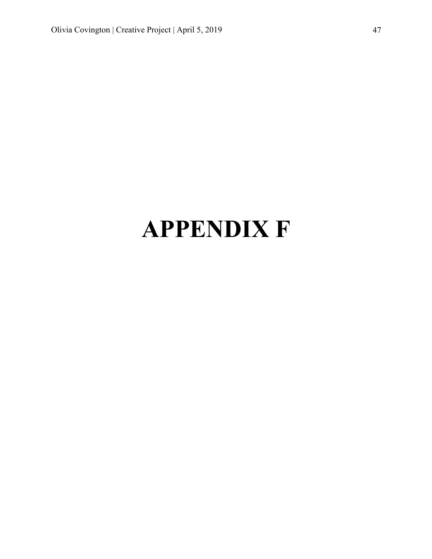# **APPENDIX F**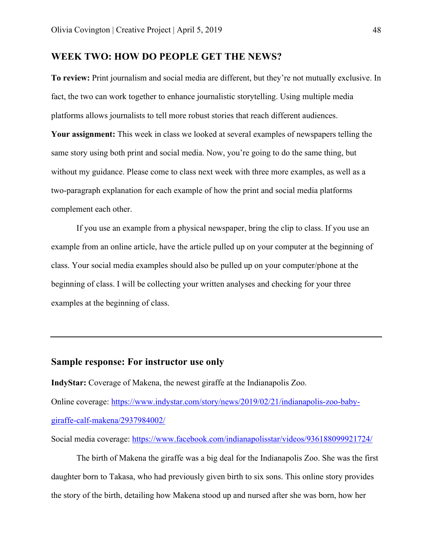### **WEEK TWO: HOW DO PEOPLE GET THE NEWS?**

**To review:** Print journalism and social media are different, but they're not mutually exclusive. In fact, the two can work together to enhance journalistic storytelling. Using multiple media platforms allows journalists to tell more robust stories that reach different audiences. **Your assignment:** This week in class we looked at several examples of newspapers telling the same story using both print and social media. Now, you're going to do the same thing, but without my guidance. Please come to class next week with three more examples, as well as a two-paragraph explanation for each example of how the print and social media platforms complement each other.

If you use an example from a physical newspaper, bring the clip to class. If you use an example from an online article, have the article pulled up on your computer at the beginning of class. Your social media examples should also be pulled up on your computer/phone at the beginning of class. I will be collecting your written analyses and checking for your three examples at the beginning of class.

### **Sample response: For instructor use only**

**IndyStar:** Coverage of Makena, the newest giraffe at the Indianapolis Zoo. Online coverage: https://www.indystar.com/story/news/2019/02/21/indianapolis-zoo-babygiraffe-calf-makena/2937984002/

Social media coverage: https://www.facebook.com/indianapolisstar/videos/936188099921724/

The birth of Makena the giraffe was a big deal for the Indianapolis Zoo. She was the first daughter born to Takasa, who had previously given birth to six sons. This online story provides the story of the birth, detailing how Makena stood up and nursed after she was born, how her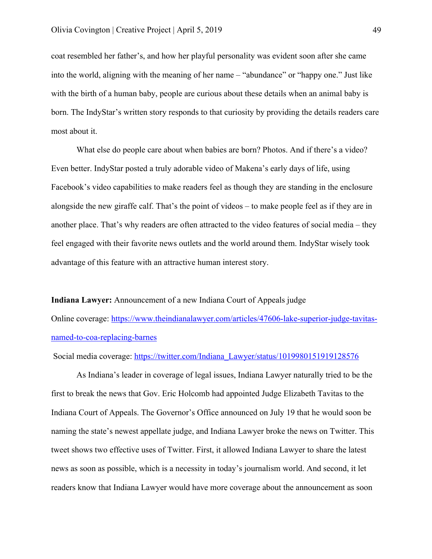coat resembled her father's, and how her playful personality was evident soon after she came into the world, aligning with the meaning of her name – "abundance" or "happy one." Just like with the birth of a human baby, people are curious about these details when an animal baby is born. The IndyStar's written story responds to that curiosity by providing the details readers care most about it.

What else do people care about when babies are born? Photos. And if there's a video? Even better. IndyStar posted a truly adorable video of Makena's early days of life, using Facebook's video capabilities to make readers feel as though they are standing in the enclosure alongside the new giraffe calf. That's the point of videos – to make people feel as if they are in another place. That's why readers are often attracted to the video features of social media – they feel engaged with their favorite news outlets and the world around them. IndyStar wisely took advantage of this feature with an attractive human interest story.

**Indiana Lawyer:** Announcement of a new Indiana Court of Appeals judge

Online coverage: https://www.theindianalawyer.com/articles/47606-lake-superior-judge-tavitasnamed-to-coa-replacing-barnes

Social media coverage: https://twitter.com/Indiana\_Lawyer/status/1019980151919128576

As Indiana's leader in coverage of legal issues, Indiana Lawyer naturally tried to be the first to break the news that Gov. Eric Holcomb had appointed Judge Elizabeth Tavitas to the Indiana Court of Appeals. The Governor's Office announced on July 19 that he would soon be naming the state's newest appellate judge, and Indiana Lawyer broke the news on Twitter. This tweet shows two effective uses of Twitter. First, it allowed Indiana Lawyer to share the latest news as soon as possible, which is a necessity in today's journalism world. And second, it let readers know that Indiana Lawyer would have more coverage about the announcement as soon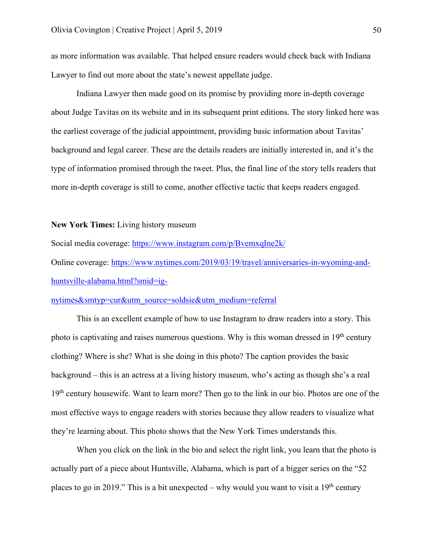as more information was available. That helped ensure readers would check back with Indiana Lawyer to find out more about the state's newest appellate judge.

Indiana Lawyer then made good on its promise by providing more in-depth coverage about Judge Tavitas on its website and in its subsequent print editions. The story linked here was the earliest coverage of the judicial appointment, providing basic information about Tavitas' background and legal career. These are the details readers are initially interested in, and it's the type of information promised through the tweet. Plus, the final line of the story tells readers that more in-depth coverage is still to come, another effective tactic that keeps readers engaged.

### **New York Times:** Living history museum

Social media coverage: https://www.instagram.com/p/BvemxqIne2k/

Online coverage: https://www.nytimes.com/2019/03/19/travel/anniversaries-in-wyoming-andhuntsville-alabama.html?smid=ig-

### nytimes&smtyp=cur&utm\_source=soldsie&utm\_medium=referral

This is an excellent example of how to use Instagram to draw readers into a story. This photo is captivating and raises numerous questions. Why is this woman dressed in 19<sup>th</sup> century clothing? Where is she? What is she doing in this photo? The caption provides the basic background – this is an actress at a living history museum, who's acting as though she's a real 19<sup>th</sup> century housewife. Want to learn more? Then go to the link in our bio. Photos are one of the most effective ways to engage readers with stories because they allow readers to visualize what they're learning about. This photo shows that the New York Times understands this.

When you click on the link in the bio and select the right link, you learn that the photo is actually part of a piece about Huntsville, Alabama, which is part of a bigger series on the "52 places to go in 2019." This is a bit unexpected – why would you want to visit a  $19<sup>th</sup>$  century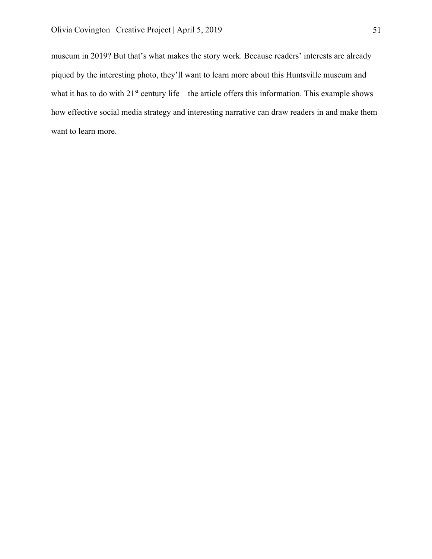museum in 2019? But that's what makes the story work. Because readers' interests are already piqued by the interesting photo, they'll want to learn more about this Huntsville museum and what it has to do with  $21^{st}$  century life – the article offers this information. This example shows how effective social media strategy and interesting narrative can draw readers in and make them want to learn more.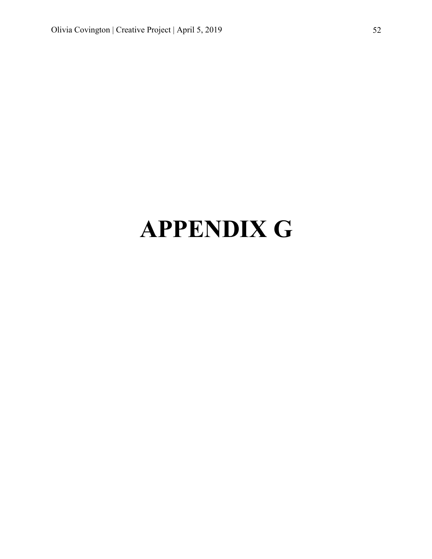# **APPENDIX G**